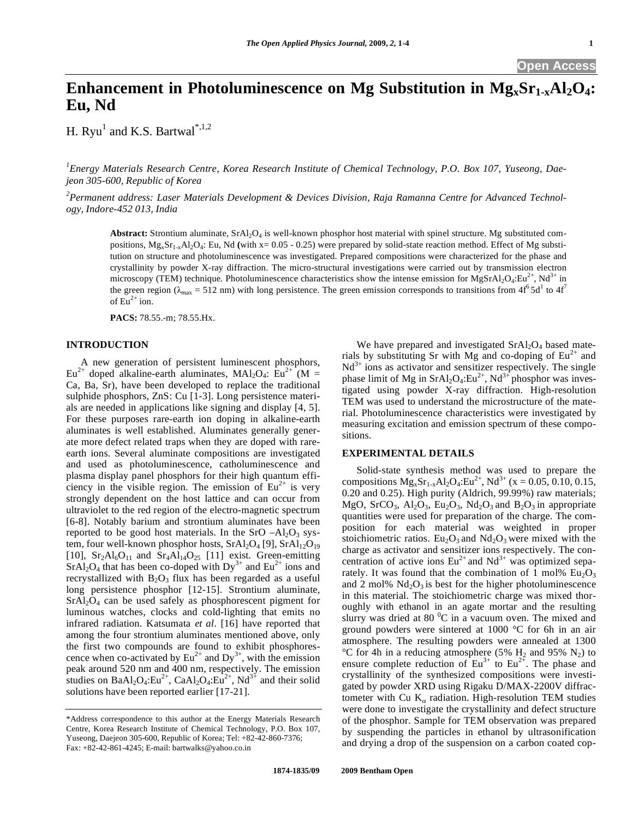# **Enhancement in Photoluminescence on Mg Substitution in Mg<sub>x</sub>Sr<sub>1-x</sub>Al<sub>2</sub>O<sub>4</sub>: Eu, Nd**

H. Ryu<sup>1</sup> and K.S. Bartwal<sup>\*,1,2</sup>

*1 Energy Materials Research Centre, Korea Research Institute of Chemical Technology, P.O. Box 107, Yuseong, Daejeon 305-600, Republic of Korea* 

*2 Permanent address: Laser Materials Development & Devices Division, Raja Ramanna Centre for Advanced Technology, Indore-452 013, India* 

Abstract: Strontium aluminate, SrAl<sub>2</sub>O<sub>4</sub> is well-known phosphor host material with spinel structure. Mg substituted compositions, MgxSr1-xAl2O4: Eu, Nd **(**with x= 0.05 - 0.25) were prepared by solid-state reaction method. Effect of Mg substitution on structure and photoluminescence was investigated. Prepared compositions were characterized for the phase and crystallinity by powder X-ray diffraction. The micro-structural investigations were carried out by transmission electron microscopy (TEM) technique. Photoluminescence characteristics show the intense emission for MgSrAl<sub>2</sub>O<sub>4</sub>:Eu<sup>2+</sup>, Nd<sup>3+</sup> in the green region ( $\lambda_{\text{max}}$  = 512 nm) with long persistence. The green emission corresponds to transitions from 4f<sup>6</sup> 5d<sup>1</sup> to 4f<sup>7</sup> of  $Eu^{2+}$  ion.

**PACS:** 78.55.-m; 78.55.Hx.

## **INTRODUCTION**

 A new generation of persistent luminescent phosphors,  $Eu^{2+}$  doped alkaline-earth aluminates, MAl<sub>2</sub>O<sub>4</sub>: Eu<sup>2+</sup> (M = Ca, Ba, Sr), have been developed to replace the traditional sulphide phosphors, ZnS: Cu [1-3]. Long persistence materials are needed in applications like signing and display [4, 5]. For these purposes rare-earth ion doping in alkaline-earth aluminates is well established. Aluminates generally generate more defect related traps when they are doped with rareearth ions. Several aluminate compositions are investigated and used as photoluminescence, catholuminescence and plasma display panel phosphors for their high quantum efficiency in the visible region. The emission of  $Eu^{2+}$  is very strongly dependent on the host lattice and can occur from ultraviolet to the red region of the electro-magnetic spectrum [6-8]. Notably barium and strontium aluminates have been reported to be good host materials. In the SrO  $-Al<sub>2</sub>O<sub>3</sub>$  system, four well-known phosphor hosts,  $SrAl<sub>2</sub>O<sub>4</sub>$  [9],  $SrAl<sub>12</sub>O<sub>19</sub>$ [10],  $Sr<sub>2</sub>Al<sub>6</sub>O<sub>11</sub>$  and  $Sr<sub>4</sub>Al<sub>14</sub>O<sub>25</sub>$  [11] exist. Green-emitting  $SrAl<sub>2</sub>O<sub>4</sub>$  that has been co-doped with  $Dy<sup>3+</sup>$  and  $Eu<sup>2+</sup>$  ions and recrystallized with  $B_2O_3$  flux has been regarded as a useful long persistence phosphor [12-15]. Strontium aluminate, SrAl2O4 can be used safely as phosphorescent pigment for luminous watches, clocks and cold-lighting that emits no infrared radiation. Katsumata *et al*. [16] have reported that among the four strontium aluminates mentioned above, only the first two compounds are found to exhibit phosphorescence when co-activated by  $Eu^{2+}$  and  $Dy^{3+}$ , with the emission peak around 520 nm and 400 nm, respectively. The emission studies on BaAl<sub>2</sub>O<sub>4</sub>:Eu<sup>2+</sup>, CaAl<sub>2</sub>O<sub>4</sub>:Eu<sup>2+</sup>, Nd<sup>3+</sup> and their solid solutions have been reported earlier [17-21].

We have prepared and investigated  $SrAl<sub>2</sub>O<sub>4</sub>$  based materials by substituting Sr with Mg and co-doping of  $Eu^{2+}$  and  $Nd^{3+}$  ions as activator and sensitizer respectively. The single phase limit of Mg in  $SrA<sub>2</sub>O<sub>4</sub>:Eu<sup>2+</sup>, Nd<sup>3+</sup> phosphor was invest$ tigated using powder X-ray diffraction. High-resolution TEM was used to understand the microstructure of the material. Photoluminescence characteristics were investigated by measuring excitation and emission spectrum of these compositions.

## **EXPERIMENTAL DETAILS**

 Solid-state synthesis method was used to prepare the compositions  $Mg_xSr_{1-x}Al_2O_4:Eu^{2+}$ ,  $Nd^{3+}$  (x = 0.05, 0.10, 0.15, 0.20 and 0.25). High purity (Aldrich, 99.99%) raw materials; MgO, SrCO<sub>3</sub>, Al<sub>2</sub>O<sub>3</sub>, Eu<sub>2</sub>O<sub>3</sub>, Nd<sub>2</sub>O<sub>3</sub> and B<sub>2</sub>O<sub>3</sub> in appropriate quantities were used for preparation of the charge. The composition for each material was weighted in proper stoichiometric ratios.  $Eu_2O_3$  and  $Nd_2O_3$  were mixed with the charge as activator and sensitizer ions respectively. The concentration of active ions  $Eu^{2+}$  and  $Nd^{3+}$  was optimized separately. It was found that the combination of 1 mol%  $Eu_2O_3$ and 2 mol%  $Nd<sub>2</sub>O<sub>3</sub>$  is best for the higher photoluminescence in this material. The stoichiometric charge was mixed thoroughly with ethanol in an agate mortar and the resulting slurry was dried at 80 $\mathrm{^{0}C}$  in a vacuum oven. The mixed and ground powders were sintered at 1000 °C for 6h in an air atmosphere. The resulting powders were annealed at 1300 °C for 4h in a reducing atmosphere (5%  $H_2$  and 95% N<sub>2</sub>) to ensure complete reduction of  $Eu^{3+}$  to  $Eu^{2+}$ . The phase and crystallinity of the synthesized compositions were investigated by powder XRD using Rigaku D/MAX-2200V diffractometer with Cu  $K_{\alpha}$  radiation. High-resolution TEM studies were done to investigate the crystallinity and defect structure of the phosphor. Sample for TEM observation was prepared by suspending the particles in ethanol by ultrasonification and drying a drop of the suspension on a carbon coated cop-

<sup>\*</sup>Address correspondence to this author at the Energy Materials Research Centre, Korea Research Institute of Chemical Technology, P.O. Box 107, Yuseong, Daejeon 305-600, Republic of Korea; Tel: +82-42-860-7376; Fax: +82-42-861-4245; E-mail: bartwalks@yahoo.co.in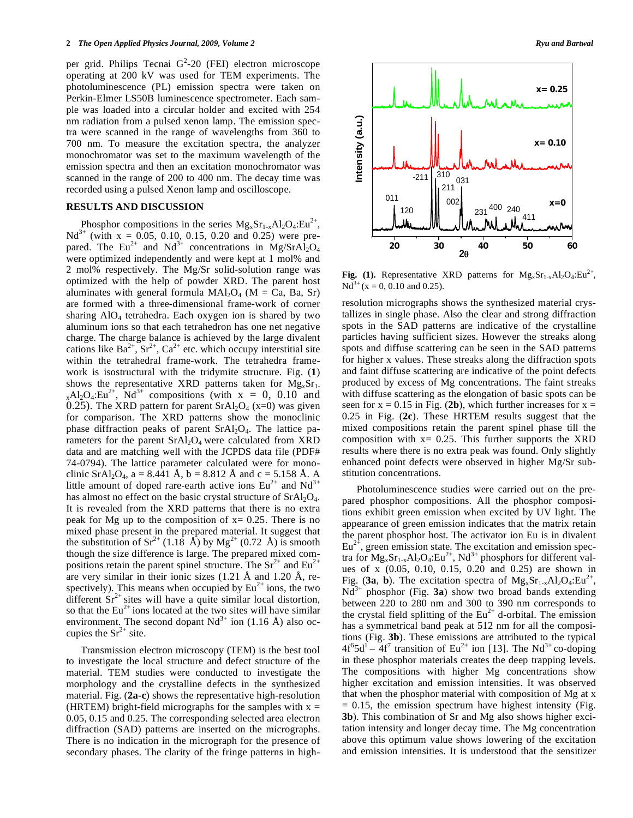per grid. Philips Tecnai  $G^2$ -20 (FEI) electron microscope operating at 200 kV was used for TEM experiments. The photoluminescence (PL) emission spectra were taken on Perkin-Elmer LS50B luminescence spectrometer. Each sample was loaded into a circular holder and excited with 254 nm radiation from a pulsed xenon lamp. The emission spectra were scanned in the range of wavelengths from 360 to 700 nm. To measure the excitation spectra, the analyzer monochromator was set to the maximum wavelength of the emission spectra and then an excitation monochromator was scanned in the range of 200 to 400 nm. The decay time was recorded using a pulsed Xenon lamp and oscilloscope.

## **RESULTS AND DISCUSSION**

Phosphor compositions in the series  $Mg_xSr_{1-x}Al_2O_4:Eu^{2+}$ ,  $Nd^{3+}$  (with  $x = 0.05, 0.10, 0.15, 0.20$  and 0.25) were prepared. The Eu<sup>2+</sup> and Nd<sup>3+</sup> concentrations in Mg/SrAl<sub>2</sub>O<sub>4</sub> were optimized independently and were kept at 1 mol% and 2 mol% respectively. The Mg/Sr solid-solution range was optimized with the help of powder XRD. The parent host aluminates with general formula  $MAl<sub>2</sub>O<sub>4</sub>$  (M = Ca, Ba, Sr) are formed with a three-dimensional frame-work of corner sharing  $AIO<sub>4</sub>$  tetrahedra. Each oxygen ion is shared by two aluminum ions so that each tetrahedron has one net negative charge. The charge balance is achieved by the large divalent cations like  $Ba^{2+}$ ,  $Sr^{2+}$ ,  $Ca^{2+}$  etc. which occupy interstitial site within the tetrahedral frame-work. The tetrahedra framework is isostructural with the tridymite structure. Fig. (**1**) shows the representative XRD patterns taken for  $Mg_xSr_1$ .  $_{x}$ Al<sub>2</sub>O<sub>4</sub>:Eu<sup>2+</sup>, Nd<sup>3+</sup> compositions (with x = 0, 0.10 and 0.25). The XRD pattern for parent  $SrAl<sub>2</sub>O<sub>4</sub>$  (x=0) was given for comparison. The XRD patterns show the monoclinic phase diffraction peaks of parent  $SrAl<sub>2</sub>O<sub>4</sub>$ . The lattice parameters for the parent  $SrAl<sub>2</sub>O<sub>4</sub>$  were calculated from XRD data and are matching well with the JCPDS data file (PDF# 74-0794). The lattice parameter calculated were for monoclinic SrAl<sub>2</sub>O<sub>4</sub>, a = 8.441 Å, b = 8.812 Å and c = 5.158 Å. A little amount of doped rare-earth active ions  $Eu^{2+}$  and  $Nd^{3+}$ has almost no effect on the basic crystal structure of  $SrAl<sub>2</sub>O<sub>4</sub>$ . It is revealed from the XRD patterns that there is no extra peak for Mg up to the composition of  $x = 0.25$ . There is no mixed phase present in the prepared material. It suggest that the substitution of  $Sr^{2+}$  (1.18 Å) by Mg<sup>2+</sup> (0.72 Å) is smooth though the size difference is large. The prepared mixed compositions retain the parent spinel structure. The  $Sr^{2+}$  and  $Eu^{2+}$ are very similar in their ionic sizes (1.21 Å and 1.20 Å, respectively). This means when occupied by  $Eu^{2+}$  ions, the two different  $Sr^{2+}$  sites will have a quite similar local distortion, so that the  $Eu^{2+}$  ions located at the two sites will have similar environment. The second dopant  $Nd^{3+}$  ion (1.16 Å) also occupies the  $Sr^{2+}$  site.

 Transmission electron microscopy (TEM) is the best tool to investigate the local structure and defect structure of the material. TEM studies were conducted to investigate the morphology and the crystalline defects in the synthesized material. Fig. (**2a-c**) shows the representative high-resolution (HRTEM) bright-field micrographs for the samples with  $x =$ 0.05, 0.15 and 0.25. The corresponding selected area electron diffraction (SAD) patterns are inserted on the micrographs. There is no indication in the micrograph for the presence of secondary phases. The clarity of the fringe patterns in high-



**Fig. (1).** Representative XRD patterns for  $Mg_xSr_{1-x}Al_2O_4:Eu^{2+}$ ,  $Nd^{3+}$  (x = 0, 0.10 and 0.25).

resolution micrographs shows the synthesized material crystallizes in single phase. Also the clear and strong diffraction spots in the SAD patterns are indicative of the crystalline particles having sufficient sizes. However the streaks along spots and diffuse scattering can be seen in the SAD patterns for higher x values. These streaks along the diffraction spots and faint diffuse scattering are indicative of the point defects produced by excess of Mg concentrations. The faint streaks with diffuse scattering as the elongation of basic spots can be seen for  $x = 0.15$  in Fig. (2b), which further increases for  $x =$ 0.25 in Fig. (**2c**). These HRTEM results suggest that the mixed compositions retain the parent spinel phase till the composition with  $x= 0.25$ . This further supports the XRD results where there is no extra peak was found. Only slightly enhanced point defects were observed in higher Mg/Sr substitution concentrations.

 Photoluminescence studies were carried out on the prepared phosphor compositions. All the phosphor compositions exhibit green emission when excited by UV light. The appearance of green emission indicates that the matrix retain the parent phosphor host. The activator ion Eu is in divalent  $Eu<sup>2+</sup>$ , green emission state. The excitation and emission spectra for  $Mg_xSr_{1-x}Al_2O_4:Eu^{2+}$ ,  $Nd^{3+}$  phosphors for different values of x (0.05, 0.10, 0.15, 0.20 and 0.25) are shown in Fig. (3a, b). The excitation spectra of  $Mg_xSr_{1-x}Al_2O_4:Eu^{2+}$ ,  $Nd^{3+}$  phosphor (Fig. **3a**) show two broad bands extending between 220 to 280 nm and 300 to 390 nm corresponds to the crystal field splitting of the  $Eu^{2+}$  d-orbital. The emission has a symmetrical band peak at 512 nm for all the compositions (Fig. **3b**). These emissions are attributed to the typical  $4f^65d^1 - 4f^7$  transition of Eu<sup>2+</sup> ion [13]. The Nd<sup>3+</sup> co-doping in these phosphor materials creates the deep trapping levels. The compositions with higher Mg concentrations show higher excitation and emission intensities. It was observed that when the phosphor material with composition of Mg at x  $= 0.15$ , the emission spectrum have highest intensity (Fig. **3b**). This combination of Sr and Mg also shows higher excitation intensity and longer decay time. The Mg concentration above this optimum value shows lowering of the excitation and emission intensities. It is understood that the sensitizer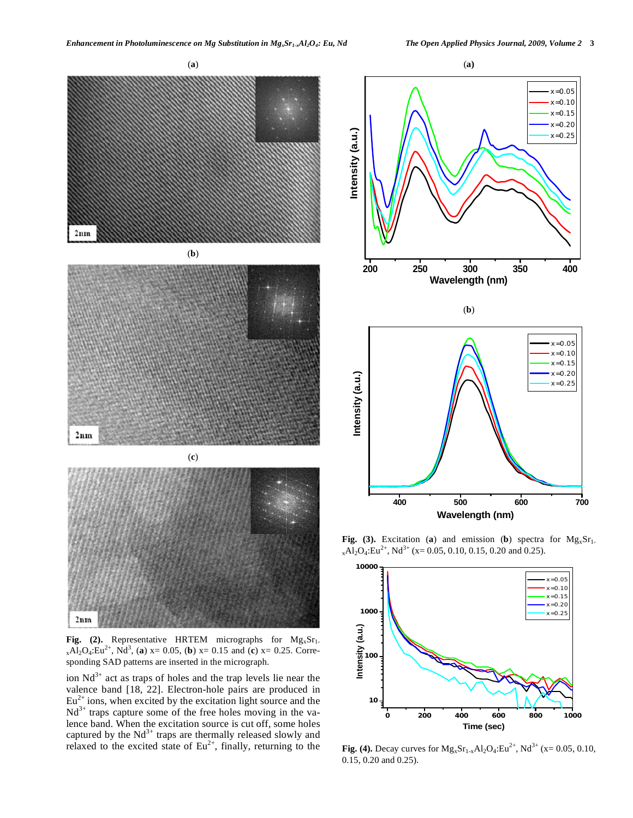

**Fig. (2).** Representative HRTEM micrographs for  $Mg_xSr_1$ .  $_{x}Al_{2}O_{4}$ :Eu<sup>2+</sup>, Nd<sup>3</sup>, (a) x= 0.05, (b) x= 0.15 and (c) x= 0.25. Corresponding SAD patterns are inserted in the micrograph.

ion  $Nd^{3+}$  act as traps of holes and the trap levels lie near the valence band [18, 22]. Electron-hole pairs are produced in  $Eu<sup>2+</sup>$  ions, when excited by the excitation light source and the  $Nd^{3+}$  traps capture some of the free holes moving in the valence band. When the excitation source is cut off, some holes captured by the  $Nd^{3+}$  traps are thermally released slowly and relaxed to the excited state of  $Eu^{2+}$ , finally, returning to the



**Fig. (3).** Excitation (**a**) and emission (**b**) spectra for  $Mg_xSr_1$ .  $_{x}Al_{2}O_{4}$ :Eu<sup>2+</sup>, Nd<sup>3+</sup> (x= 0.05, 0.10, 0.15, 0.20 and 0.25).

**Wavelength (nm)**



**Fig. (4).** Decay curves for  $Mg_xSr_{1-x}Al_2O_4:Eu^{2+}$ ,  $Nd^{3+}$  (x= 0.05, 0.10, 0.15, 0.20 and 0.25).